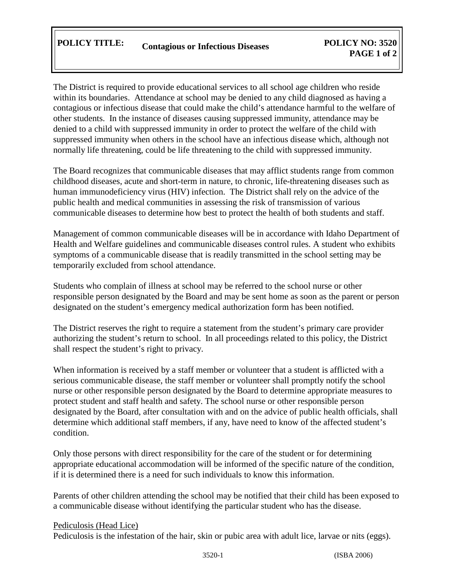The District is required to provide educational services to all school age children who reside within its boundaries. Attendance at school may be denied to any child diagnosed as having a contagious or infectious disease that could make the child's attendance harmful to the welfare of other students. In the instance of diseases causing suppressed immunity, attendance may be denied to a child with suppressed immunity in order to protect the welfare of the child with suppressed immunity when others in the school have an infectious disease which, although not normally life threatening, could be life threatening to the child with suppressed immunity.

The Board recognizes that communicable diseases that may afflict students range from common childhood diseases, acute and short-term in nature, to chronic, life-threatening diseases such as human immunodeficiency virus (HIV) infection. The District shall rely on the advice of the public health and medical communities in assessing the risk of transmission of various communicable diseases to determine how best to protect the health of both students and staff.

Management of common communicable diseases will be in accordance with Idaho Department of Health and Welfare guidelines and communicable diseases control rules. A student who exhibits symptoms of a communicable disease that is readily transmitted in the school setting may be temporarily excluded from school attendance.

Students who complain of illness at school may be referred to the school nurse or other responsible person designated by the Board and may be sent home as soon as the parent or person designated on the student's emergency medical authorization form has been notified.

The District reserves the right to require a statement from the student's primary care provider authorizing the student's return to school. In all proceedings related to this policy, the District shall respect the student's right to privacy.

When information is received by a staff member or volunteer that a student is afflicted with a serious communicable disease, the staff member or volunteer shall promptly notify the school nurse or other responsible person designated by the Board to determine appropriate measures to protect student and staff health and safety. The school nurse or other responsible person designated by the Board, after consultation with and on the advice of public health officials, shall determine which additional staff members, if any, have need to know of the affected student's condition.

Only those persons with direct responsibility for the care of the student or for determining appropriate educational accommodation will be informed of the specific nature of the condition, if it is determined there is a need for such individuals to know this information.

Parents of other children attending the school may be notified that their child has been exposed to a communicable disease without identifying the particular student who has the disease.

## Pediculosis (Head Lice)

Pediculosis is the infestation of the hair, skin or pubic area with adult lice, larvae or nits (eggs).